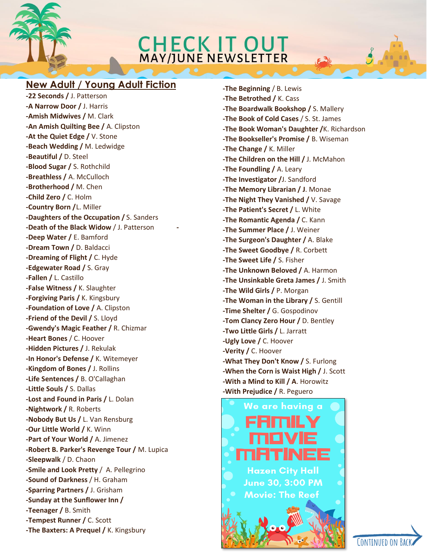# CHECK IT OUT

### **New Adult / Young Adult Fiction**

**-22 Seconds /** J. Patterson **-A Narrow Door /** J. Harris **-Amish Midwives /** M. Clark **-An Amish Quilting Bee /** A. Clipston **-At the Quiet Edge /** V. Stone **-Beach Wedding /** M. Ledwidge **-Beautiful /** D. Steel **-Blood Sugar /** S. Rothchild **-Breathless /** A. McCulloch **-Brotherhood /** M. Chen **-Child Zero /** C. Holm **-Country Born /**L. Miller **-Daughters of the Occupation /** S. Sanders **-Death of the Black Widow** / J. Patterson **- -Deep Water /** E. Bamford **-Dream Town /** D. Baldacci **-Dreaming of Flight /** C. Hyde **-Edgewater Road /** S. Gray **-Fallen /** L. Castillo **-False Witness /** K. Slaughter **-Forgiving Paris /** K. Kingsbury **-Foundation of Love /** A. Clipston **-Friend of the Devil /** S. Lloyd **-Gwendy's Magic Feather /** R. Chizmar **-Heart Bones** / C. Hoover **-Hidden Pictures /** J. Rekulak **-In Honor's Defense /** K. Witemeyer **-Kingdom of Bones /** J. Rollins **-Life Sentences /** B. O'Callaghan **-Little Souls /** S. Dallas **-Lost and Found in Paris /** L. Dolan **-Nightwork /** R. Roberts **-Nobody But Us /** L. Van Rensburg **-Our Little World /** K. Winn **-Part of Your World /** A. Jimenez **-Robert B. Parker's Revenge Tour /** M. Lupica **-Sleepwalk** / D. Chaon **-Smile and Look Pretty** / A. Pellegrino **-Sound of Darkness** / H. Graham **-Sparring Partners /** J. Grisham **-Sunday at the Sunflower Inn / -Teenager /** B. Smith **-Tempest Runner /** C. Scott **-The Baxters: A Prequel /** K. Kingsbury

**-The Beginning** / B. Lewis **-The Betrothed /** K. Cass **-The Boardwalk Bookshop /** S. Mallery **-The Book of Cold Cases** / S. St. James **-The Book Woman's Daughter /**K. Richardson **-The Bookseller's Promise /** B. Wiseman **-The Change /** K. Miller **-The Children on the Hill /** J. McMahon **-The Foundling /** A. Leary **-The Investigator /**J. Sandford **-The Memory Librarian / J**. Monae **-The Night They Vanished /** V. Savage **-The Patient's Secret /** L. White **-The Romantic Agenda /** C. Kann **-The Summer Place /** J. Weiner **-The Surgeon's Daughter /** A. Blake **-The Sweet Goodbye /** R. Corbett **-The Sweet Life /** S. Fisher **-The Unknown Beloved /** A. Harmon **-The Unsinkable Greta James /** J. Smith **-The Wild Girls /** P. Morgan **-The Woman in the Library /** S. Gentill **-Time Shelter /** G. Gospodinov **-Tom Clancy Zero Hour /** D. Bentley **-Two Little Girls /** L. Jarratt **-Ugly Love /** C. Hoover **-Verity /** C. Hoover **-What They Don't Know /** S. Furlong **-When the Corn is Waist High /** J. Scott **-With a Mind to Kill / A**. Horowitz

**-With Prejudice /** R. Peguero



CONTINUED ON BAC